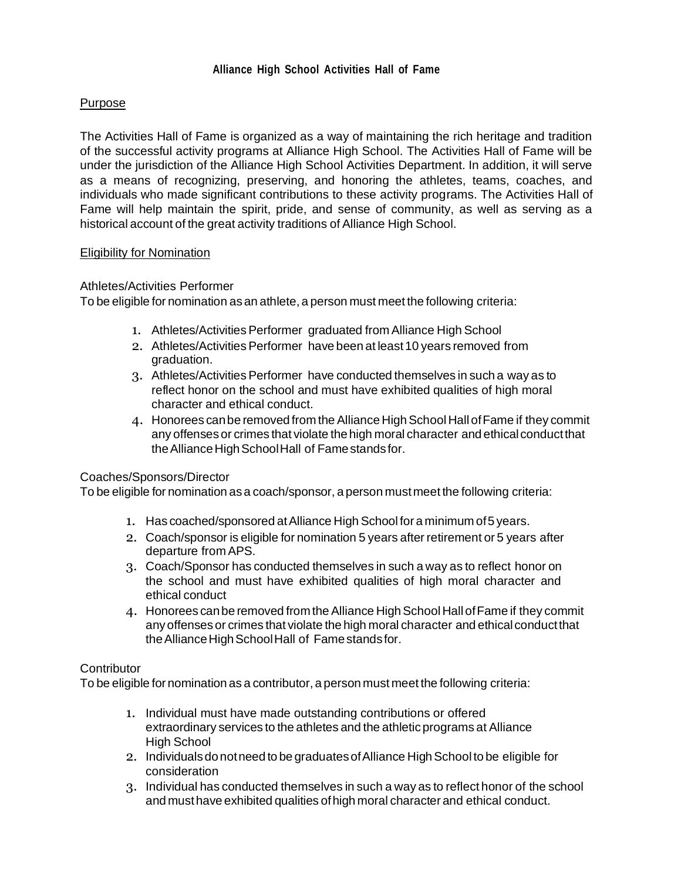# **Purpose**

The Activities Hall of Fame is organized as a way of maintaining the rich heritage and tradition of the successful activity programs at Alliance High School. The Activities Hall of Fame will be under the jurisdiction of the Alliance High School Activities Department. In addition, it will serve as a means of recognizing, preserving, and honoring the athletes, teams, coaches, and individuals who made significant contributions to these activity programs. The Activities Hall of Fame will help maintain the spirit, pride, and sense of community, as well as serving as a historical account of the great activity traditions of Alliance High School.

### Eligibility for Nomination

### Athletes/Activities Performer

To be eligible for nomination as an athlete, a person must meet the following criteria:

- 1. Athletes/Activities Performer graduated from Alliance High School
- 2. Athletes/Activities Performer have been at least10 years removed from graduation.
- 3. Athletes/Activities Performer have conducted themselves in such a way as to reflect honor on the school and must have exhibited qualities of high moral character and ethical conduct.
- 4. Honorees can be removed from the Alliance High School Hall of Fame if they commit any offenses or crimes that violate the high moral character and ethical conduct that the Alliance High School Hall of Fame stands for.

#### Coaches/Sponsors/Director

To be eligible for nomination asa coach/sponsor, a person mustmeet the following criteria:

- 1. Has coached/sponsored atAlliance High School for a minimum of5 years.
- 2. Coach/sponsor is eligible for nomination 5 years after retirement or 5 years after departure from APS.
- 3. Coach/Sponsor has conducted themselves in such a way as to reflect honor on the school and must have exhibited qualities of high moral character and ethical conduct
- 4. Honorees can be removed from the Alliance High School Hall of Fame if they commit any offenses or crimes that violate the high moral character and ethical conductthat the Alliance High School Hall of Fame stands for.

## **Contributor**

To be eligible for nomination as a contributor, a person must meet the following criteria:

- 1. Individual must have made outstanding contributions or offered extraordinary services to the athletes and the athletic programs at Alliance High School
- 2. Individuals do not need to be graduates of Alliance High School to be eligible for consideration
- 3. Individual has conducted themselves in such a way as to reflect honor of the school and musthave exhibited qualities ofhigh moral character and ethical conduct.